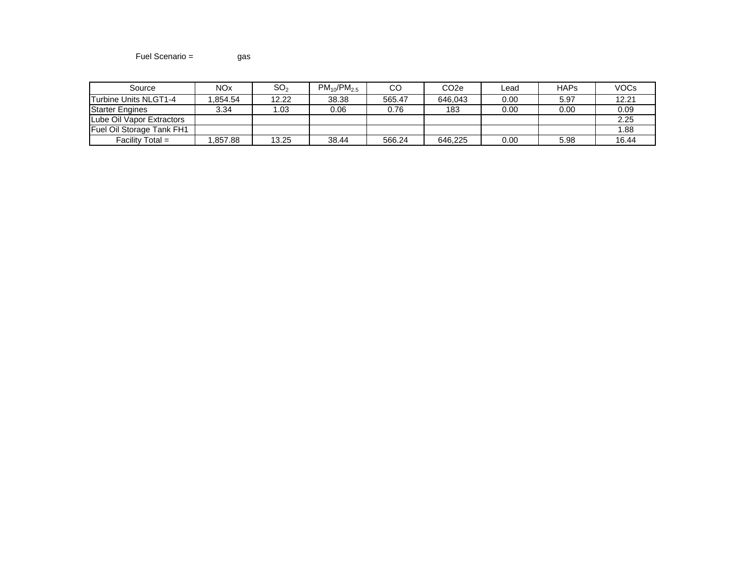# Fuel Scenario = gas

| Source                    | <b>NOx</b> | SO,   | $PM_{10}/PM_{2.5}$ | CC     | CO <sub>2e</sub> | Lead | <b>HAPs</b>       | <b>VOCs</b> |
|---------------------------|------------|-------|--------------------|--------|------------------|------|-------------------|-------------|
| Turbine Units NLGT1-4     | .854.54    | 12.22 | 38.38              | 565.47 | 646.043          | 0.00 | 5.97              | 12.21       |
| <b>Starter Engines</b>    | 3.34       | . 03  | 0.06               | 0.76   | 183              | 0.00 | 0.00 <sub>1</sub> | 0.09        |
| Lube Oil Vapor Extractors |            |       |                    |        |                  |      |                   | 2.25        |
| Fuel Oil Storage Tank FH1 |            |       |                    |        |                  |      |                   | .88         |
| Facility Total $=$        | .857.88    | 13.25 | 38.44              | 566.24 | 646.225          | 0.00 | 5.98              | 16.44       |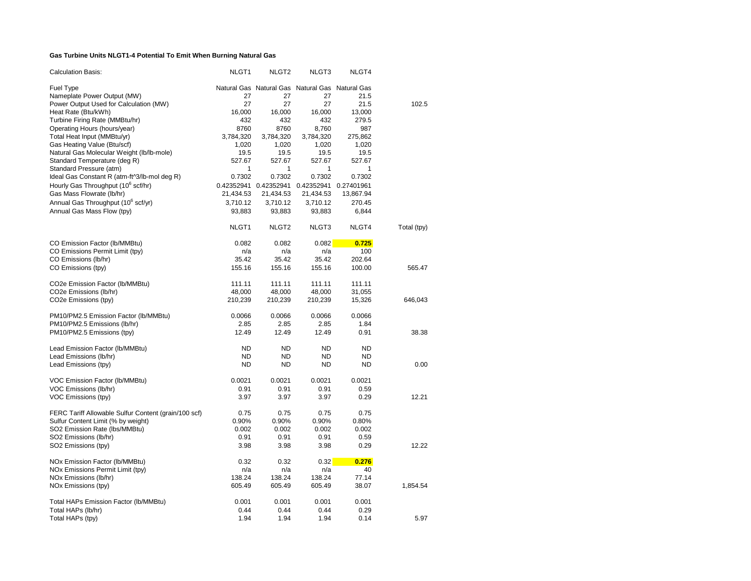# **Gas Turbine Units NLGT1-4 Potential To Emit When Burning Natural Gas**

| <b>Calculation Basis:</b>                                          | NLGT1             | NLGT <sub>2</sub>     | NLGT3                                           | NLGT4       |             |
|--------------------------------------------------------------------|-------------------|-----------------------|-------------------------------------------------|-------------|-------------|
| Fuel Type                                                          |                   |                       | Natural Gas Natural Gas Natural Gas Natural Gas |             |             |
| Nameplate Power Output (MW)                                        | 27                | 27                    | 27                                              | 21.5        |             |
| Power Output Used for Calculation (MW)                             | 27                | 27                    | 27                                              | 21.5        | 102.5       |
| Heat Rate (Btu/kWh)                                                | 16,000            | 16,000                | 16,000                                          | 13,000      |             |
| Turbine Firing Rate (MMBtu/hr)                                     | 432               | 432                   | 432                                             | 279.5       |             |
| Operating Hours (hours/year)                                       | 8760              | 8760                  | 8,760                                           | 987         |             |
| Total Heat Input (MMBtu/yr)                                        | 3,784,320         | 3,784,320             | 3,784,320                                       | 275,862     |             |
| Gas Heating Value (Btu/scf)                                        | 1,020             | 1,020                 | 1,020                                           | 1,020       |             |
| Natural Gas Molecular Weight (lb/lb-mole)                          | 19.5              | 19.5                  | 19.5                                            | 19.5        |             |
| Standard Temperature (deg R)                                       | 527.67            | 527.67                | 527.67                                          | 527.67      |             |
| Standard Pressure (atm)                                            | 1                 | 1                     | 1                                               | 1           |             |
| Ideal Gas Constant R (atm-ft^3/lb-mol deg R)                       | 0.7302            | 0.7302                | 0.7302                                          | 0.7302      |             |
| Hourly Gas Throughput (10 <sup>6</sup> scf/hr)                     |                   |                       | 0.42352941                                      | 0.27401961  |             |
|                                                                    |                   | 0.42352941 0.42352941 |                                                 |             |             |
| Gas Mass Flowrate (lb/hr)                                          | 21,434.53         | 21,434.53             | 21,434.53                                       | 13,867.94   |             |
| Annual Gas Throughput (10 <sup>6</sup> scf/yr)                     | 3,710.12          | 3,710.12              | 3,710.12                                        | 270.45      |             |
| Annual Gas Mass Flow (tpy)                                         | 93,883            | 93,883                | 93,883                                          | 6,844       |             |
|                                                                    | NLGT <sub>1</sub> | NLGT <sub>2</sub>     | NLGT3                                           | NLGT4       | Total (tpy) |
| CO Emission Factor (Ib/MMBtu)                                      | 0.082             | 0.082                 | 0.082                                           | 0.725       |             |
| CO Emissions Permit Limit (tpy)                                    | n/a               | n/a                   | n/a                                             | 100         |             |
| CO Emissions (lb/hr)                                               | 35.42             | 35.42                 | 35.42                                           | 202.64      |             |
| CO Emissions (tpy)                                                 | 155.16            | 155.16                | 155.16                                          | 100.00      | 565.47      |
|                                                                    |                   |                       |                                                 |             |             |
| CO2e Emission Factor (lb/MMBtu)                                    | 111.11            | 111.11                | 111.11                                          | 111.11      |             |
| CO2e Emissions (lb/hr)                                             | 48,000            | 48,000                | 48,000                                          | 31,055      |             |
| CO2e Emissions (tpy)                                               | 210,239           | 210,239               | 210,239                                         | 15,326      | 646,043     |
| PM10/PM2.5 Emission Factor (Ib/MMBtu)                              | 0.0066            | 0.0066                | 0.0066                                          | 0.0066      |             |
| PM10/PM2.5 Emissions (lb/hr)                                       | 2.85              | 2.85                  | 2.85                                            | 1.84        |             |
| PM10/PM2.5 Emissions (tpy)                                         | 12.49             | 12.49                 | 12.49                                           | 0.91        | 38.38       |
|                                                                    |                   |                       |                                                 |             |             |
| Lead Emission Factor (Ib/MMBtu)                                    | <b>ND</b>         | <b>ND</b>             | <b>ND</b>                                       | ND          |             |
| Lead Emissions (lb/hr)                                             | <b>ND</b>         | <b>ND</b>             | <b>ND</b>                                       | ND          |             |
| Lead Emissions (tpy)                                               | <b>ND</b>         | <b>ND</b>             | <b>ND</b>                                       | <b>ND</b>   | 0.00        |
| VOC Emission Factor (Ib/MMBtu)                                     | 0.0021            | 0.0021                | 0.0021                                          | 0.0021      |             |
| VOC Emissions (lb/hr)                                              | 0.91              | 0.91                  | 0.91                                            | 0.59        |             |
| VOC Emissions (tpy)                                                | 3.97              | 3.97                  | 3.97                                            | 0.29        | 12.21       |
| FERC Tariff Allowable Sulfur Content (grain/100 scf)               | 0.75              | 0.75                  | 0.75                                            | 0.75        |             |
| Sulfur Content Limit (% by weight)                                 | 0.90%             | 0.90%                 | 0.90%                                           | 0.80%       |             |
| SO2 Emission Rate (lbs/MMBtu)                                      | 0.002             | 0.002                 | 0.002                                           | 0.002       |             |
| SO2 Emissions (lb/hr)                                              | 0.91              | 0.91                  | 0.91                                            | 0.59        |             |
| SO2 Emissions (tpy)                                                | 3.98              | 3.98                  | 3.98                                            | 0.29        | 12.22       |
|                                                                    | 0.32              | 0.32                  |                                                 |             |             |
| NOx Emission Factor (Ib/MMBtu)<br>NOx Emissions Permit Limit (tpy) | n/a               | n/a                   | 0.32<br>n/a                                     | 0.276<br>40 |             |
|                                                                    |                   |                       |                                                 |             |             |
| NOx Emissions (lb/hr)                                              | 138.24            | 138.24                | 138.24                                          | 77.14       |             |
| NOx Emissions (tpy)                                                | 605.49            | 605.49                | 605.49                                          | 38.07       | 1,854.54    |
| Total HAPs Emission Factor (Ib/MMBtu)                              | 0.001             | 0.001                 | 0.001                                           | 0.001       |             |
| Total HAPs (lb/hr)                                                 | 0.44              | 0.44                  | 0.44                                            | 0.29        |             |
| Total HAPs (tpy)                                                   | 1.94              | 1.94                  | 1.94                                            | 0.14        | 5.97        |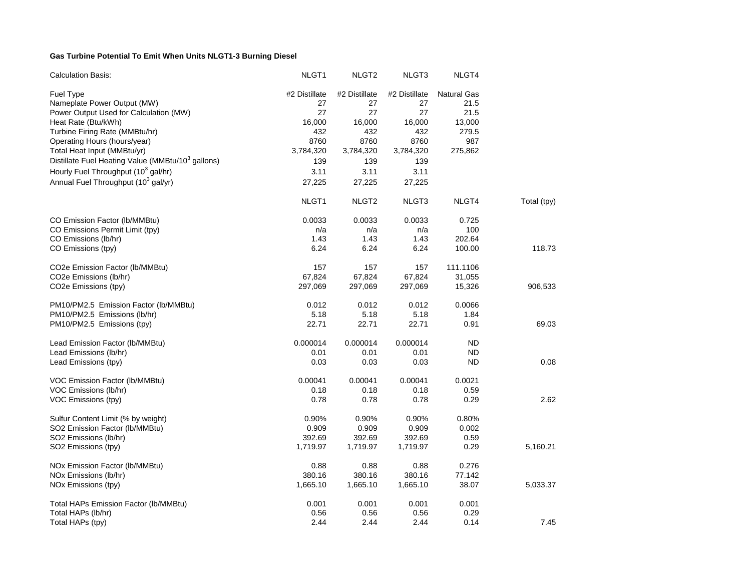# **Gas Turbine Potential To Emit When Units NLGT1-3 Burning Diesel**

| <b>Calculation Basis:</b>                                     | NLGT <sub>1</sub> | NLGT <sub>2</sub> | NLGT3         | NLGT4              |             |
|---------------------------------------------------------------|-------------------|-------------------|---------------|--------------------|-------------|
| <b>Fuel Type</b>                                              | #2 Distillate     | #2 Distillate     | #2 Distillate | <b>Natural Gas</b> |             |
| Nameplate Power Output (MW)                                   | 27                | 27                | 27            | 21.5               |             |
| Power Output Used for Calculation (MW)                        | 27                | 27                | 27            | 21.5               |             |
| Heat Rate (Btu/kWh)                                           | 16,000            | 16,000            | 16,000        | 13,000             |             |
| Turbine Firing Rate (MMBtu/hr)                                | 432               | 432               | 432           | 279.5              |             |
| Operating Hours (hours/year)                                  | 8760              | 8760              | 8760          | 987                |             |
| Total Heat Input (MMBtu/yr)                                   | 3,784,320         | 3,784,320         | 3,784,320     | 275,862            |             |
| Distillate Fuel Heating Value (MMBtu/10 <sup>3</sup> gallons) | 139               | 139               | 139           |                    |             |
| Hourly Fuel Throughput (10 <sup>3</sup> gal/hr)               | 3.11              | 3.11              | 3.11          |                    |             |
| Annual Fuel Throughput (10 <sup>3</sup> gal/yr)               | 27,225            | 27,225            | 27,225        |                    |             |
|                                                               | NLGT <sub>1</sub> | NLGT <sub>2</sub> | NLGT3         | NLGT4              | Total (tpy) |
| CO Emission Factor (lb/MMBtu)                                 | 0.0033            | 0.0033            | 0.0033        | 0.725              |             |
| CO Emissions Permit Limit (tpy)                               | n/a               | n/a               | n/a           | 100                |             |
| CO Emissions (lb/hr)                                          | 1.43              | 1.43              | 1.43          | 202.64             |             |
| CO Emissions (tpy)                                            | 6.24              | 6.24              | 6.24          | 100.00             | 118.73      |
| CO <sub>2</sub> e Emission Factor (Ib/MMBtu)                  | 157               | 157               | 157           | 111.1106           |             |
| CO2e Emissions (lb/hr)                                        | 67,824            | 67,824            | 67,824        | 31,055             |             |
| CO <sub>2</sub> e Emissions (tpy)                             | 297,069           | 297,069           | 297,069       | 15,326             | 906,533     |
| PM10/PM2.5 Emission Factor (lb/MMBtu)                         | 0.012             | 0.012             | 0.012         | 0.0066             |             |
| PM10/PM2.5 Emissions (lb/hr)                                  | 5.18              | 5.18              | 5.18          | 1.84               |             |
| PM10/PM2.5 Emissions (tpy)                                    | 22.71             | 22.71             | 22.71         | 0.91               | 69.03       |
| Lead Emission Factor (Ib/MMBtu)                               | 0.000014          | 0.000014          | 0.000014      | <b>ND</b>          |             |
| Lead Emissions (lb/hr)                                        | 0.01              | 0.01              | 0.01          | ND                 |             |
| Lead Emissions (tpy)                                          | 0.03              | 0.03              | 0.03          | ND                 | 0.08        |
| VOC Emission Factor (Ib/MMBtu)                                | 0.00041           | 0.00041           | 0.00041       | 0.0021             |             |
| VOC Emissions (lb/hr)                                         | 0.18              | 0.18              | 0.18          | 0.59               |             |
| VOC Emissions (tpy)                                           | 0.78              | 0.78              | 0.78          | 0.29               | 2.62        |
| Sulfur Content Limit (% by weight)                            | 0.90%             | 0.90%             | 0.90%         | 0.80%              |             |
| SO2 Emission Factor (Ib/MMBtu)                                | 0.909             | 0.909             | 0.909         | 0.002              |             |
| SO2 Emissions (lb/hr)                                         | 392.69            | 392.69            | 392.69        | 0.59               |             |
| SO2 Emissions (tpy)                                           | 1,719.97          | 1,719.97          | 1,719.97      | 0.29               | 5,160.21    |
| NOx Emission Factor (Ib/MMBtu)                                | 0.88              | 0.88              | 0.88          | 0.276              |             |
| NOx Emissions (lb/hr)                                         | 380.16            | 380.16            | 380.16        | 77.142             |             |
| NO <sub>x</sub> Emissions (tpy)                               | 1,665.10          | 1,665.10          | 1,665.10      | 38.07              | 5,033.37    |
| Total HAPs Emission Factor (Ib/MMBtu)                         | 0.001             | 0.001             | 0.001         | 0.001              |             |
| Total HAPs (lb/hr)                                            | 0.56              | 0.56              | 0.56          | 0.29               |             |
| Total HAPs (tpy)                                              | 2.44              | 2.44              | 2.44          | 0.14               | 7.45        |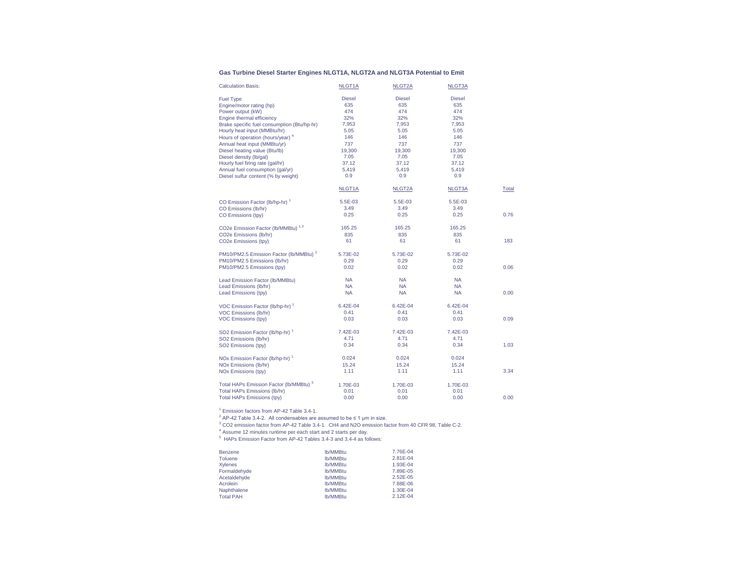#### **Gas Turbine Diesel Starter Engines NLGT1A, NLGT2A and NLGT3A Potential to Emit**

| <b>Calculation Basis:</b>                          | NLGT1A        | NLGT2A        | NLGT3A        |       |
|----------------------------------------------------|---------------|---------------|---------------|-------|
| <b>Fuel Type</b>                                   | <b>Diesel</b> | <b>Diesel</b> | <b>Diesel</b> |       |
| Engine/motor rating (hp)                           | 635           | 635           | 635           |       |
| Power output (kW)                                  | 474           | 474           | 474           |       |
| Engine thermal efficiency                          | 32%           | 32%           | 32%           |       |
| Brake specific fuel consumption (Btu/hp-hr)        | 7,953         | 7,953         | 7,953         |       |
| Hourly heat input (MMBtu/hr)                       | 5.05          | 5.05          | 5.05          |       |
| Hours of operation (hours/year) <sup>4</sup>       | 146           | 146           | 146           |       |
| Annual heat input (MMBtu/yr)                       | 737           | 737           | 737           |       |
| Diesel heating value (Btu/lb)                      | 19,300        | 19,300        | 19,300        |       |
| Diesel density (lb/gal)                            | 7.05          | 7.05          | 7.05          |       |
| Hourly fuel firing rate (gal/hr)                   | 37.12         | 37.12         | 37.12         |       |
| Annual fuel consumption (gal/yr)                   | 5,419         | 5,419         | 5,419         |       |
| Diesel sulfur content (% by weight)                | 0.9           | 0.9           | 0.9           |       |
|                                                    | NLGT1A        | NLGT2A        | NLGT3A        | Total |
| CO Emission Factor (lb/hp-hr) 1                    | 5.5E-03       | 5.5E-03       | 5.5E-03       |       |
| CO Emissions (lb/hr)                               | 3.49          | 3.49          | 3.49          |       |
| CO Emissions (tpy)                                 | 0.25          | 0.25          | 0.25          | 0.76  |
| CO2e Emission Factor (lb/MMBtu) 1,3                | 165.25        | 165.25        | 165.25        |       |
| CO2e Emissions (lb/hr)                             | 835           | 835           | 835           |       |
| CO2e Emissions (tpy)                               | 61            | 61            | 61            | 183   |
| PM10/PM2.5 Emission Factor (lb/MMBtu) <sup>2</sup> | 5.73E-02      | 5.73E-02      | 5.73E-02      |       |
| PM10/PM2.5 Emissions (lb/hr)                       | 0.29          | 0.29          | 0.29          |       |
| PM10/PM2.5 Emissions (tpy)                         | 0.02          | 0.02          | 0.02          | 0.06  |
|                                                    |               |               |               |       |
| Lead Emission Factor (lb/MMBtu)                    | <b>NA</b>     | <b>NA</b>     | <b>NA</b>     |       |
| Lead Emissions (lb/hr)                             | <b>NA</b>     | <b>NA</b>     | <b>NA</b>     |       |
| Lead Emissions (tpy)                               | <b>NA</b>     | <b>NA</b>     | <b>NA</b>     | 0.00  |
| VOC Emission Factor (lb/hp-hr) <sup>1</sup>        | 6.42E-04      | 6.42E-04      | 6.42E-04      |       |
| VOC Emissions (lb/hr)                              | 0.41          | 0.41          | 0.41          |       |
| VOC Emissions (tpy)                                | 0.03          | 0.03          | 0.03          | 0.09  |
| SO2 Emission Factor (lb/hp-hr) <sup>1</sup>        | 7.42E-03      | 7.42E-03      | 7.42E-03      |       |
| SO2 Emissions (lb/hr)                              | 4.71          | 4.71          | 4.71          |       |
| SO2 Emissions (tpy)                                | 0.34          | 0.34          | 0.34          | 1.03  |
| NOx Emission Factor (lb/hp-hr) 1                   | 0.024         | 0.024         | 0.024         |       |
|                                                    | 15.24         | 15.24         | 15.24         |       |
| NOx Emissions (lb/hr)                              | 1.11          | 1.11          | 1.11          | 3.34  |
| <b>NOx Emissions (tpy)</b>                         |               |               |               |       |
| Total HAPs Emission Factor (lb/MMBtu) <sup>5</sup> | 1.70E-03      | 1.70E-03      | 1.70E-03      |       |
| Total HAPs Emissions (lb/hr)                       | 0.01          | 0.01          | 0.01          |       |
| Total HAPs Emissions (tpy)                         | 0.00          | 0.00          | 0.00          | 0.00  |

1 Emission factors from AP-42 Table 3.4-1.

<sup>2</sup> AP-42 Table 3.4-2. All condensables are assumed to be  $\leq$  1 µm in size.

3 CO2 emission factor from AP-42 Table 3.4-1. CH4 and N2O emission factor from 40 CFR 98, Table C-2.

4 Assume 12 minutes runtime per each start and 2 starts per day.

5 HAPs Emission Factor from AP-42 Tables 3.4-3 and 3.4-4 as follows:

| Benzene          | lb/MMBtu | 7.76E-04      |
|------------------|----------|---------------|
| <b>Toluene</b>   | lb/MMBtu | 2.81E-04      |
| <b>Xylenes</b>   | lb/MMBtu | 1.93E-04      |
| Formaldehyde     | lb/MMBtu | 7.89E-05      |
| Acetaldehyde     | lb/MMBtu | $2.52E - 0.5$ |
| Acrolein         | lb/MMBtu | 7.88E-06      |
| Naphthalene      | lb/MMBtu | 1.30E-04      |
| <b>Total PAH</b> | lb/MMBtu | 2.12E-04      |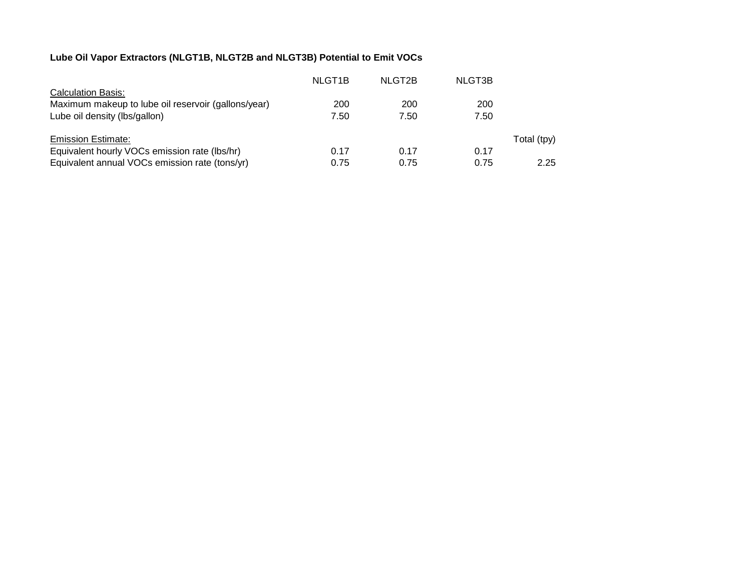# **Lube Oil Vapor Extractors (NLGT1B, NLGT2B and NLGT3B) Potential to Emit VOCs**

|                                                     | NLGT <sub>1</sub> B | NLGT2B | NLGT3B |             |
|-----------------------------------------------------|---------------------|--------|--------|-------------|
| <b>Calculation Basis:</b>                           |                     |        |        |             |
| Maximum makeup to lube oil reservoir (gallons/year) | 200                 | 200    | 200    |             |
| Lube oil density (lbs/gallon)                       | 7.50                | 7.50   | 7.50   |             |
|                                                     |                     |        |        |             |
| <b>Emission Estimate:</b>                           |                     |        |        | Total (tpy) |
| Equivalent hourly VOCs emission rate (lbs/hr)       | 0.17                | 0.17   | 0.17   |             |
| Equivalent annual VOCs emission rate (tons/yr)      | 0.75                | 0.75   | 0.75   | 2.25        |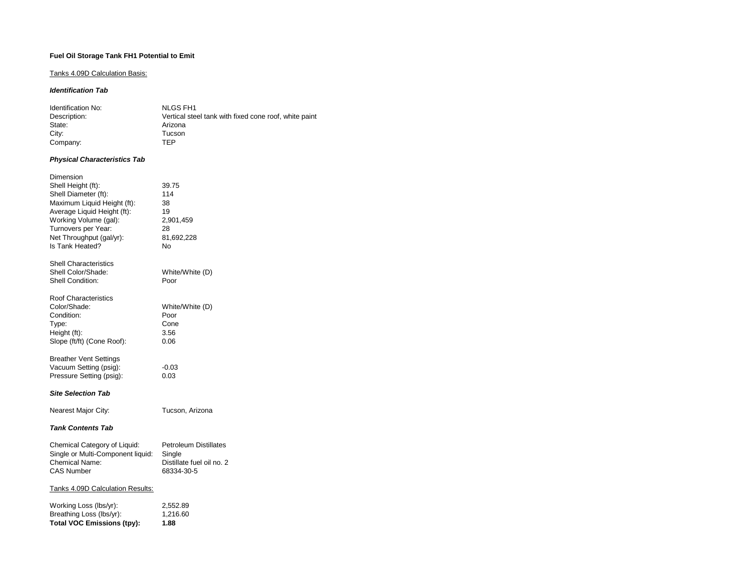# **Fuel Oil Storage Tank FH1 Potential to Emit**

# Tanks 4.09D Calculation Basis:

### *Identification Tab*

| Identification No: | NLGS FH1                                              |
|--------------------|-------------------------------------------------------|
| Description:       | Vertical steel tank with fixed cone roof, white paint |
| State:             | Arizona                                               |
| City:              | Tucson                                                |
| Company:           | TFP                                                   |

## *Physical Characteristics Tab*

| Dimension                         |                              |
|-----------------------------------|------------------------------|
| Shell Height (ft):                | 39.75                        |
| Shell Diameter (ft):              | 114                          |
| Maximum Liquid Height (ft):       | 38                           |
| Average Liquid Height (ft):       | 19                           |
| Working Volume (gal):             | 2,901,459                    |
| Turnovers per Year:               | 28                           |
| Net Throughput (gal/yr):          | 81,692,228                   |
| Is Tank Heated?                   | No                           |
| <b>Shell Characteristics</b>      |                              |
| Shell Color/Shade:                | White/White (D)              |
| <b>Shell Condition:</b>           | Poor                         |
| <b>Roof Characteristics</b>       |                              |
| Color/Shade:                      | White/White (D)              |
| Condition:                        | Poor                         |
| Type:                             | Cone                         |
| Height (ft):                      | 3.56                         |
| Slope (ft/ft) (Cone Roof):        | 0.06                         |
| <b>Breather Vent Settings</b>     |                              |
| Vacuum Setting (psig):            | $-0.03$                      |
| Pressure Setting (psig):          | 0.03                         |
| <b>Site Selection Tab</b>         |                              |
| Nearest Major City:               | Tucson, Arizona              |
| <b>Tank Contents Tab</b>          |                              |
| Chemical Category of Liquid:      | <b>Petroleum Distillates</b> |
| Single or Multi-Component liquid: | Single                       |
| <b>Chemical Name:</b>             | Distillate fuel oil no. 2    |
| <b>CAS Number</b>                 | 68334-30-5                   |
| Tanks 4.09D Calculation Results:  |                              |
| Working Loss (lbs/yr):            | 2,552.89                     |
| Breathing Loss (lbs/yr):          | 1.216.60                     |

**Total VOC Emissions (tpy): 1.88**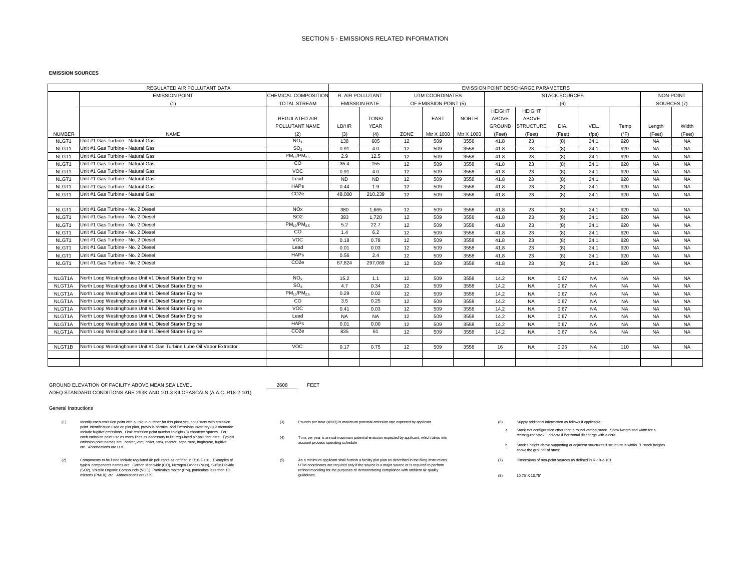#### **EMISSION SOURCES**

| REGULATED AIR POLLUTANT DATA |                                                                      |                       |                                               | <b>EMISSION POINT DESCHARGE PARAMETERS</b> |      |                 |              |               |                  |                      |             |               |           |           |
|------------------------------|----------------------------------------------------------------------|-----------------------|-----------------------------------------------|--------------------------------------------|------|-----------------|--------------|---------------|------------------|----------------------|-------------|---------------|-----------|-----------|
|                              | <b>EMISSION POINT</b>                                                | CHEMICAL COMPOSITION  |                                               | R. AIR POLLUTANT                           |      | UTM COORDINATES |              |               |                  | <b>STACK SOURCES</b> |             |               |           | NON-POINT |
|                              | (1)                                                                  | <b>TOTAL STREAM</b>   | <b>EMISSION RATE</b><br>OF EMISSION POINT (5) |                                            |      |                 |              | (6)           |                  |                      | SOURCES (7) |               |           |           |
|                              |                                                                      |                       |                                               |                                            |      |                 |              | <b>HEIGHT</b> | <b>HEIGHT</b>    |                      |             |               |           |           |
|                              |                                                                      | <b>REGULATED AIR</b>  |                                               | TONS/                                      |      | EAST            | <b>NORTH</b> | <b>ABOVE</b>  | ABOVE            |                      |             |               |           |           |
|                              |                                                                      | POLLUTANT NAME        | LB/HR                                         | <b>YEAR</b>                                |      |                 |              | <b>GROUND</b> | <b>STRUCTURE</b> | DIA.                 | VEL.        | Temp          | Length    | Width     |
| <b>NUMBER</b>                | <b>NAME</b>                                                          | (2)                   | (3)                                           | (4)                                        | ZONE | Mtr X 1000      | Mtr X 1000   | (Feet)        | (Feet)           | (Feet)               | (fps)       | $(^{\circ}F)$ | (Feet)    | (Feet)    |
| NLGT1                        | Unit #1 Gas Turbine - Natural Gas                                    | NO <sub>x</sub>       | 138                                           | 605                                        | 12   | 509             | 3558         | 41.8          | 23               | (8)                  | 24.1        | 920           | <b>NA</b> | <b>NA</b> |
| NLGT1                        | Unit #1 Gas Turbine - Natural Gas                                    | SO <sub>2</sub>       | 0.91                                          | 4.0                                        | 12   | 509             | 3558         | 41.8          | 23               | (8)                  | 24.1        | 920           | <b>NA</b> | <b>NA</b> |
| NLGT1                        | Unit #1 Gas Turbine - Natural Gas                                    | $PM_{10}/PM_{2.5}$    | 2.9                                           | 12.5                                       | 12   | 509             | 3558         | 41.8          | 23               | (8)                  | 24.1        | 920           | <b>NA</b> | <b>NA</b> |
| NLGT1                        | Unit #1 Gas Turbine - Natural Gas                                    | CO                    | 35.4                                          | 155                                        | 12   | 509             | 3558         | 41.8          | 23               | (8)                  | 24.1        | 920           | <b>NA</b> | <b>NA</b> |
| NLGT1                        | Unit #1 Gas Turbine - Natural Gas                                    | VOC                   | 0.91                                          | 4.0                                        | 12   | 509             | 3558         | 41.8          | 23               | (8)                  | 24.1        | 920           | <b>NA</b> | <b>NA</b> |
| NLGT1                        | Unit #1 Gas Turbine - Natural Gas                                    | Lead                  | <b>ND</b>                                     | <b>ND</b>                                  | 12   | 509             | 3558         | 41.8          | 23               | (8)                  | 24.1        | 920           | <b>NA</b> | <b>NA</b> |
| NLGT1                        | Unit #1 Gas Turbine - Natural Gas                                    | <b>HAPs</b>           | 0.44                                          | 1.9                                        | 12   | 509             | 3558         | 41.8          | 23               | (8)                  | 24.1        | 920           | NA        | <b>NA</b> |
| NLGT1                        | Unit #1 Gas Turbine - Natural Gas                                    | CO <sub>2e</sub>      | 48,000                                        | 210.239                                    | 12   | 509             | 3558         | 41.8          | 23               | (8)                  | 24.1        | 920           | <b>NA</b> | <b>NA</b> |
|                              |                                                                      |                       |                                               |                                            |      |                 |              |               |                  |                      |             |               |           |           |
| NLGT1                        | Unit #1 Gas Turbine - No. 2 Diesel                                   | <b>NO<sub>x</sub></b> | 380                                           | 1.665                                      | 12   | 509             | 3558         | 41.8          | 23               | (8)                  | 24.1        | 920           | <b>NA</b> | <b>NA</b> |
| NLGT1                        | Unit #1 Gas Turbine - No. 2 Diesel                                   | SO <sub>2</sub>       | 393                                           | 1,720                                      | 12   | 509             | 3558         | 41.8          | 23               | (8)                  | 24.1        | 920           | <b>NA</b> | <b>NA</b> |
| NLGT1                        | Unit #1 Gas Turbine - No. 2 Diesel                                   | $PM_{10}/PM_{2.5}$    | 5.2                                           | 22.7                                       | 12   | 509             | 3558         | 41.8          | 23               | (8)                  | 24.1        | 920           | <b>NA</b> | <b>NA</b> |
| NLGT1                        | Unit #1 Gas Turbine - No. 2 Diesel                                   | CO                    | 1.4                                           | 6.2                                        | 12   | 509             | 3558         | 41.8          | 23               | (8)                  | 24.1        | 920           | <b>NA</b> | <b>NA</b> |
| NLGT1                        | Unit #1 Gas Turbine - No. 2 Diesel                                   | VOC                   | 0.18                                          | 0.78                                       | 12   | 509             | 3558         | 41.8          | 23               | (8)                  | 24.1        | 920           | <b>NA</b> | <b>NA</b> |
| NLGT1                        | Unit #1 Gas Turbine - No. 2 Diesel                                   | Lead                  | 0.01                                          | 0.03                                       | 12   | 509             | 3558         | 41.8          | 23               | (8)                  | 24.1        | 920           | <b>NA</b> | <b>NA</b> |
| NLGT1                        | Unit #1 Gas Turbine - No. 2 Diesel                                   | <b>HAPs</b>           | 0.56                                          | 2.4                                        | 12   | 509             | 3558         | 41.8          | 23               | (8)                  | 24.1        | 920           | <b>NA</b> | <b>NA</b> |
| NLGT1                        | Unit #1 Gas Turbine - No. 2 Diesel                                   | CO <sub>2e</sub>      | 67.824                                        | 297.069                                    | 12   | 509             | 3558         | 41.8          | 23               | (8)                  | 24.1        | 920           | <b>NA</b> | <b>NA</b> |
|                              |                                                                      |                       |                                               |                                            |      |                 |              |               |                  |                      |             |               |           |           |
| NLGT1A                       | North Loop Westinghouse Unit #1 Diesel Starter Engine                | NO <sub>x</sub>       | 15.2                                          | 1.1                                        | 12   | 509             | 3558         | 14.2          | <b>NA</b>        | 0.67                 | <b>NA</b>   | <b>NA</b>     | <b>NA</b> | <b>NA</b> |
| NLGT1A                       | North Loop Westinghouse Unit #1 Diesel Starter Engine                | SO <sub>2</sub>       | 4.7                                           | 0.34                                       | 12   | 509             | 3558         | 14.2          | <b>NA</b>        | 0.67                 | <b>NA</b>   | <b>NA</b>     | <b>NA</b> | <b>NA</b> |
| NLGT1A                       | North Loop Westinghouse Unit #1 Diesel Starter Engine                | $PM_{10}/PM_{2.5}$    | 0.29                                          | 0.02                                       | 12   | 509             | 3558         | 14.2          | <b>NA</b>        | 0.67                 | <b>NA</b>   | <b>NA</b>     | <b>NA</b> | <b>NA</b> |
| NLGT1A                       | North Loop Westinghouse Unit #1 Diesel Starter Engine                | CO.                   | 3.5                                           | 0.25                                       | 12   | 509             | 3558         | 14.2          | <b>NA</b>        | 0.67                 | <b>NA</b>   | <b>NA</b>     | <b>NA</b> | <b>NA</b> |
| NLGT1A                       | North Loop Westinghouse Unit #1 Diesel Starter Engine                | <b>VOC</b>            | 0.41                                          | 0.03                                       | 12   | 509             | 3558         | 14.2          | <b>NA</b>        | 0.67                 | <b>NA</b>   | <b>NA</b>     | <b>NA</b> | <b>NA</b> |
| NLGT1A                       | North Loop Westinghouse Unit #1 Diesel Starter Engine                | Lead                  | <b>NA</b>                                     | <b>NA</b>                                  | 12   | 509             | 3558         | 14.2          | <b>NA</b>        | 0.67                 | <b>NA</b>   | <b>NA</b>     | <b>NA</b> | <b>NA</b> |
| NLGT1A                       | North Loop Westinghouse Unit #1 Diesel Starter Engine                | <b>HAPs</b>           | 0.01                                          | 0.00                                       | 12   | 509             | 3558         | 14.2          | <b>NA</b>        | 0.67                 | <b>NA</b>   | <b>NA</b>     | <b>NA</b> | <b>NA</b> |
| NLGT1A                       | North Loop Westinghouse Unit #1 Diesel Starter Engine                | CO <sub>2e</sub>      | 835                                           | 61                                         | 12   | 509             | 3558         | 14.2          | <b>NA</b>        | 0.67                 | <b>NA</b>   | <b>NA</b>     | <b>NA</b> | <b>NA</b> |
|                              |                                                                      |                       |                                               |                                            |      |                 |              |               |                  |                      |             |               |           |           |
| NLGT1B                       | North Loop Westinghouse Unit #1 Gas Turbine Lube Oil Vapor Extractor | <b>VOC</b>            | 0.17                                          | 0.75                                       | 12   | 509             | 3558         | 16            | <b>NA</b>        | 0.25                 | <b>NA</b>   | 110           | <b>NA</b> | <b>NA</b> |
|                              |                                                                      |                       |                                               |                                            |      |                 |              |               |                  |                      |             |               |           |           |
|                              |                                                                      |                       |                                               |                                            |      |                 |              |               |                  |                      |             |               |           |           |

GROUND ELEVATION OF FACILITY ABOVE MEAN SEA LEVEL 2008 2608 FEET ADEQ STANDARD CONDITIONS ARE 293K AND 101.3 KILOPASCALS (A.A.C. R18-2-101)

- (1) Identify each emission point with a unique number for this plant site, consistent with emission with emission Supplicant (3) Pounds per hour (#/HR) is maximum potential emission rate expected by applicant server than t Identify each emission point with a unique number for this plant site, consistent with emission point identification used on plot plan, previous permits, and Emissions Inventory Questionnaire. Include fugitive emissions. Limit emission point number to eight (8) character spaces. For each emission point use as many lines as necessary to list regu-lated air pollutant data. Typical emission point names are: heater, vent, boiler, tank, reactor, sepa-rator, baghouse, fugitive, etc. Abbreviations are O.K.
- (2) Components to be listed include regulated air pollutants as defined in R18-2-101. Examples of which samples as defined in R-18-2-101. Examples of which the filling instructions. Changes are the component sources as def Components to be listed include regulated air pollutants as defined in R18-2-101. Examples of<br>typical components names are: Carbon Monoxide (CO), Nitrogen Oxides (NOx), Sulfur Dioxide<br>(SO2), Volatile Organic Compounds (VOC
- 
- (4) Tons per year is annual maximum potential emission expected by applicant, which takes into account process operating schedule
- UTM coordinates are required only if the source is a major source or is required to perform refined modeling for the purposes of demonstrating compliance with ambient air quality guidelines.
- 
- a. Stack exit configuration other than a round vertical stack. Show lwngth and width for a rectangular stack. Indicate if horizontal discharge with a note.
- b. Stack's height above supporting or adjacent structures if structure is within 3 "stack heights above the ground" of stack.
- 
- (8) 10.75' X 10.75'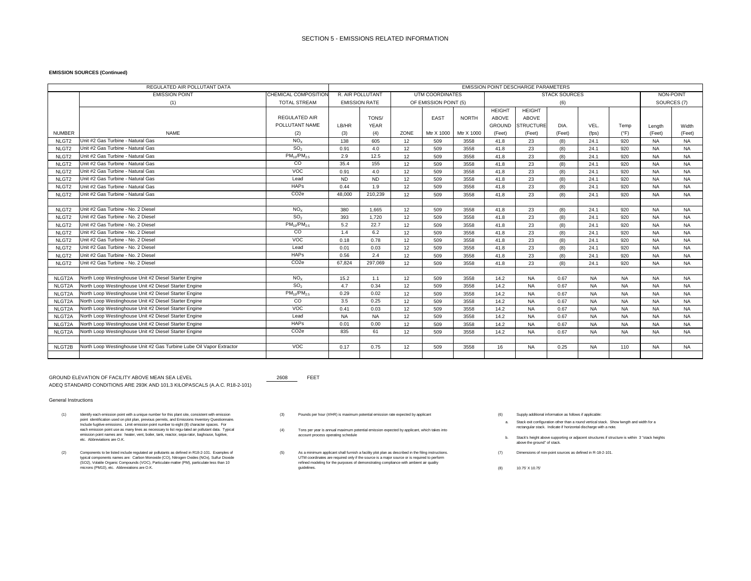#### **EMISSION SOURCES (Continued)**

| REGULATED AIR POLLUTANT DATA |                                                                      |                      | <b>EMISSION POINT DESCHARGE PARAMETERS</b> |                      |                       |                 |              |               |                  |                      |           |               |             |           |
|------------------------------|----------------------------------------------------------------------|----------------------|--------------------------------------------|----------------------|-----------------------|-----------------|--------------|---------------|------------------|----------------------|-----------|---------------|-------------|-----------|
|                              | <b>EMISSION POINT</b>                                                | CHEMICAL COMPOSITION |                                            | R. AIR POLLUTANT     |                       | UTM COORDINATES |              |               |                  | <b>STACK SOURCES</b> |           |               | NON-POINT   |           |
|                              | (1)                                                                  | <b>TOTAL STREAM</b>  |                                            | <b>EMISSION RATE</b> | OF EMISSION POINT (5) |                 |              |               |                  | (6)                  |           |               | SOURCES (7) |           |
|                              |                                                                      |                      |                                            |                      |                       |                 |              | <b>HEIGHT</b> | <b>HEIGHT</b>    |                      |           |               |             |           |
|                              |                                                                      | <b>REGULATED AIR</b> |                                            | TONS/                |                       | EAST            | <b>NORTH</b> | ABOVE         | ABOVE            |                      |           |               |             |           |
|                              |                                                                      | POLLUTANT NAME       | LB/HR                                      | <b>YEAR</b>          |                       |                 |              | <b>GROUND</b> | <b>STRUCTURE</b> | DIA.                 | VEL.      | Temp          | Lenath      | Width     |
| <b>NUMBER</b>                | <b>NAME</b>                                                          | (2)                  | (3)                                        | (4)                  | ZONE                  | Mtr X 1000      | Mtr X 1000   | (Feet)        | (Feet)           | (Feet)               | (fps)     | $(^{\circ}F)$ | (Feet)      | (Feet)    |
| NLGT <sub>2</sub>            | Unit #2 Gas Turbine - Natural Gas                                    | NO <sub>x</sub>      | 138                                        | 605                  | 12                    | 509             | 3558         | 41.8          | 23               | (8)                  | 24.1      | 920           | <b>NA</b>   | <b>NA</b> |
| NLGT <sub>2</sub>            | Unit #2 Gas Turbine - Natural Gas                                    | SO <sub>2</sub>      | 0.91                                       | 4.0                  | 12                    | 509             | 3558         | 41.8          | 23               | (8)                  | 24.1      | 920           | <b>NA</b>   | <b>NA</b> |
| NLGT <sub>2</sub>            | Unit #2 Gas Turbine - Natural Gas                                    | $PM_{10}/PM_{2.5}$   | 2.9                                        | 12.5                 | 12                    | 509             | 3558         | 41.8          | 23               | (8)                  | 24.1      | 920           | <b>NA</b>   | <b>NA</b> |
| NLGT <sub>2</sub>            | Unit #2 Gas Turbine - Natural Gas                                    | CO                   | 35.4                                       | 155                  | 12                    | 509             | 3558         | 41.8          | 23               | (8)                  | 24.1      | 920           | <b>NA</b>   | <b>NA</b> |
| NLGT <sub>2</sub>            | Unit #2 Gas Turbine - Natural Gas                                    | VOC                  | 0.91                                       | 4.0                  | 12                    | 509             | 3558         | 41.8          | 23               | (8)                  | 24.1      | 920           | <b>NA</b>   | <b>NA</b> |
| NLGT <sub>2</sub>            | Unit #2 Gas Turbine - Natural Gas                                    | Lead                 | <b>ND</b>                                  | <b>ND</b>            | 12                    | 509             | 3558         | 41.8          | 23               | (8)                  | 24.1      | 920           | <b>NA</b>   | <b>NA</b> |
| NLGT <sub>2</sub>            | Unit #2 Gas Turbine - Natural Gas                                    | <b>HAPs</b>          | 0.44                                       | 1.9                  | 12                    | 509             | 3558         | 41.8          | 23               | (8)                  | 24.1      | 920           | <b>NA</b>   | <b>NA</b> |
| NLGT <sub>2</sub>            | Unit #2 Gas Turbine - Natural Gas                                    | CO <sub>2e</sub>     | 48,000                                     | 210.239              | 12                    | 509             | 3558         | 41.8          | 23               | (8)                  | 24.1      | 920           | <b>NA</b>   | <b>NA</b> |
|                              |                                                                      |                      |                                            |                      |                       |                 |              |               |                  |                      |           |               |             |           |
| NLGT <sub>2</sub>            | Unit #2 Gas Turbine - No. 2 Diesel                                   | NO <sub>x</sub>      | 380                                        | 1.665                | 12                    | 509             | 3558         | 41.8          | 23               | (8)                  | 24.1      | 920           | <b>NA</b>   | <b>NA</b> |
| NLGT <sub>2</sub>            | Unit #2 Gas Turbine - No. 2 Diesel                                   | SO <sub>2</sub>      | 393                                        | 1.720                | 12                    | 509             | 3558         | 41.8          | 23               | (8)                  | 24.1      | 920           | <b>NA</b>   | <b>NA</b> |
| NLGT <sub>2</sub>            | Unit #2 Gas Turbine - No. 2 Diesel                                   | $PM_{10}/PM_{2.5}$   | 5.2                                        | 22.7                 | 12                    | 509             | 3558         | 41.8          | 23               | (8)                  | 24.1      | 920           | <b>NA</b>   | <b>NA</b> |
| NLGT <sub>2</sub>            | Unit #2 Gas Turbine - No. 2 Diesel                                   | CO                   | 1.4                                        | 6.2                  | 12                    | 509             | 3558         | 41.8          | 23               | (8)                  | 24.1      | 920           | <b>NA</b>   | <b>NA</b> |
| NLGT <sub>2</sub>            | Unit #2 Gas Turbine - No. 2 Diesel                                   | VOC                  | 0.18                                       | 0.78                 | 12                    | 509             | 3558         | 41.8          | 23               | (8)                  | 24.1      | 920           | <b>NA</b>   | NA        |
| NLGT <sub>2</sub>            | Unit #2 Gas Turbine - No. 2 Diesel                                   | Lead                 | 0.01                                       | 0.03                 | 12                    | 509             | 3558         | 41.8          | 23               | (8)                  | 24.1      | 920           | <b>NA</b>   | <b>NA</b> |
| NLGT <sub>2</sub>            | Unit #2 Gas Turbine - No. 2 Diesel                                   | <b>HAPs</b>          | 0.56                                       | 2.4                  | 12                    | 509             | 3558         | 41.8          | 23               | (8)                  | 24.1      | 920           | <b>NA</b>   | <b>NA</b> |
| NLGT <sub>2</sub>            | Unit #2 Gas Turbine - No. 2 Diesel                                   | CO <sub>2e</sub>     | 67.824                                     | 297.069              | 12                    | 509             | 3558         | 41.8          | 23               | (8)                  | 24.1      | 920           | <b>NA</b>   | <b>NA</b> |
|                              |                                                                      |                      |                                            |                      |                       |                 |              |               |                  |                      |           |               |             |           |
| NLGT2A                       | North Loop Westinghouse Unit #2 Diesel Starter Engine                | NO <sub>x</sub>      | 15.2                                       | 1.1                  | 12                    | 509             | 3558         | 14.2          | <b>NA</b>        | 0.67                 | <b>NA</b> | <b>NA</b>     | <b>NA</b>   | <b>NA</b> |
| NLGT2A                       | North Loop Westinghouse Unit #2 Diesel Starter Engine                | SO <sub>2</sub>      | 4.7                                        | 0.34                 | 12                    | 509             | 3558         | 14.2          | <b>NA</b>        | 0.67                 | <b>NA</b> | <b>NA</b>     | <b>NA</b>   | <b>NA</b> |
| NLGT2A                       | North Loop Westinghouse Unit #2 Diesel Starter Engine                | $PM_{10}/PM_{2.5}$   | 0.29                                       | 0.02                 | 12                    | 509             | 3558         | 14.2          | <b>NA</b>        | 0.67                 | <b>NA</b> | <b>NA</b>     | <b>NA</b>   | <b>NA</b> |
| NLGT2A                       | North Loop Westinghouse Unit #2 Diesel Starter Engine                | $\overline{c}$       | 3.5                                        | 0.25                 | 12                    | 509             | 3558         | 14.2          | <b>NA</b>        | 0.67                 | <b>NA</b> | <b>NA</b>     | <b>NA</b>   | <b>NA</b> |
| NLGT2A                       | North Loop Westinghouse Unit #2 Diesel Starter Engine                | VOC                  | 0.41                                       | 0.03                 | 12                    | 509             | 3558         | 14.2          | <b>NA</b>        | 0.67                 | <b>NA</b> | <b>NA</b>     | <b>NA</b>   | <b>NA</b> |
| NLGT2A                       | North Loop Westinghouse Unit #2 Diesel Starter Engine                | Lead                 | <b>NA</b>                                  | <b>NA</b>            | 12                    | 509             | 3558         | 14.2          | <b>NA</b>        | 0.67                 | <b>NA</b> | <b>NA</b>     | <b>NA</b>   | <b>NA</b> |
| NLGT2A                       | North Loop Westinghouse Unit #2 Diesel Starter Engine                | <b>HAPs</b>          | 0.01                                       | 0.00                 | 12                    | 509             | 3558         | 14.2          | <b>NA</b>        | 0.67                 | <b>NA</b> | <b>NA</b>     | <b>NA</b>   | <b>NA</b> |
| NLGT2A                       | North Loop Westinghouse Unit #2 Diesel Starter Engine                | CO <sub>2e</sub>     | 835                                        | 61                   | 12                    | 509             | 3558         | 14.2          | <b>NA</b>        | 0.67                 | <b>NA</b> | <b>NA</b>     | <b>NA</b>   | <b>NA</b> |
|                              |                                                                      |                      |                                            |                      |                       |                 |              |               |                  |                      |           |               |             |           |
| NLGT2B                       | North Loop Westinghouse Unit #2 Gas Turbine Lube Oil Vapor Extractor | <b>VOC</b>           | 0.17                                       | 0.75                 | 12                    | 509             | 3558         | 16            | <b>NA</b>        | 0.25                 | <b>NA</b> | 110           | <b>NA</b>   | <b>NA</b> |
|                              |                                                                      |                      |                                            |                      |                       |                 |              |               |                  |                      |           |               |             |           |

GROUND ELEVATION OF FACILITY ABOVE MEAN SEA LEVEL **1998 12608** FEET ADEQ STANDARD CONDITIONS ARE 293K AND 101.3 KILOPASCALS (A.A.C. R18-2-101)

- (1) Identify each emission point with a unique number for this plant site, consistent with emission<br>point identification used on point point products premier than a round vertical state in the point of the state of the st etc. Abbreviations are O.K.
- (2) Components to be to be the component of the component of the component of the component of the component of the component of the component of the component of the component of the component of the component of the comp Components to be listed include regulated air pollutants as defined in R18-2-101. Examples of<br>typical components names are: Carbon Monoxide (CO), Nitrogen Oxides (NOx), Sulfur Dioxide<br>(SO2), Volatile Organic Compounds (VOC
- 
- (4) Tons per year is annual maximum potential emission expected by applicant, which takes into account process operating schedule each emission point use as many lines as necessary to list regu-lated air pollutant data. Typical emission point names are: heater, vent, boiler, tank, reactor, sepa-rator, baghouse, fugitive,
	- refined modeling for the purposes of demonstrating compliance with ambient air quality guidelines.
- 
- a. Stack exit configuration other than a round vertical stack. Show lwngth and width for a rectangular stack. Indicate if horizontal discharge with a note.
- b. Stack's height above supporting or adjacent structures if structure is within 3 "stack heights above the ground" of stack.
- 
- (8) 10.75' X 10.75'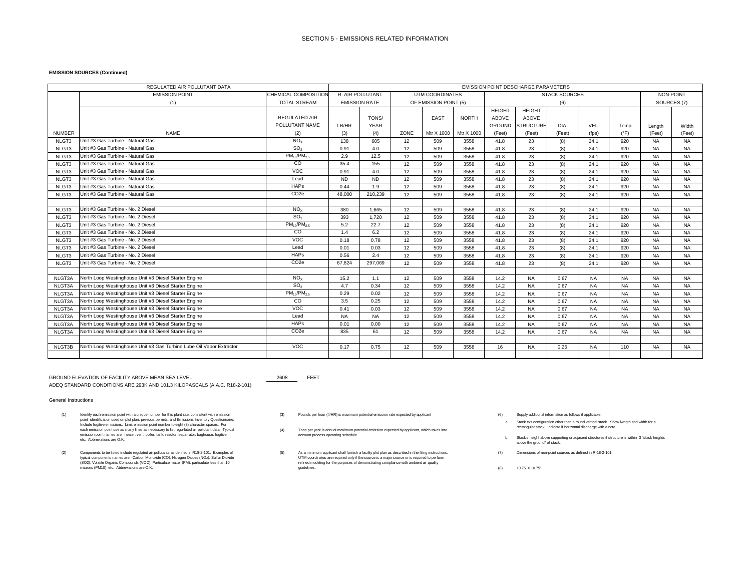#### **EMISSION SOURCES (Continued)**

| REGULATED AIR POLLUTANT DATA |                                                                      |                      | <b>EMISSION POINT DESCHARGE PARAMETERS</b> |                      |      |                       |              |               |                  |                      |           |               |             |           |
|------------------------------|----------------------------------------------------------------------|----------------------|--------------------------------------------|----------------------|------|-----------------------|--------------|---------------|------------------|----------------------|-----------|---------------|-------------|-----------|
|                              | <b>EMISSION POINT</b>                                                | CHEMICAL COMPOSITION |                                            | R. AIR POLLUTANT     |      | UTM COORDINATES       |              |               |                  | <b>STACK SOURCES</b> |           |               | NON-POINT   |           |
|                              | (1)                                                                  | <b>TOTAL STREAM</b>  |                                            | <b>EMISSION RATE</b> |      | OF EMISSION POINT (5) |              |               |                  | (6)                  |           |               | SOURCES (7) |           |
|                              |                                                                      |                      |                                            |                      |      |                       |              | <b>HEIGHT</b> | <b>HEIGHT</b>    |                      |           |               |             |           |
|                              |                                                                      | <b>REGULATED AIR</b> |                                            | TONS/                |      | EAST                  | <b>NORTH</b> | ABOVE         | ABOVE            |                      |           |               |             |           |
|                              |                                                                      | POLLUTANT NAME       | LB/HR                                      | <b>YEAR</b>          |      |                       |              | <b>GROUND</b> | <b>STRUCTURE</b> | DIA.                 | VEL.      | Temp          | Lenath      | Width     |
| <b>NUMBER</b>                | <b>NAME</b>                                                          | (2)                  | (3)                                        | (4)                  | ZONE | Mtr X 1000            | Mtr X 1000   | (Feet)        | (Feet)           | (Feet)               | (fps)     | $(^{\circ}F)$ | (Feet)      | (Feet)    |
| NLGT3                        | Unit #3 Gas Turbine - Natural Gas                                    | NO <sub>x</sub>      | 138                                        | 605                  | 12   | 509                   | 3558         | 41.8          | 23               | (8)                  | 24.1      | 920           | <b>NA</b>   | <b>NA</b> |
| NLGT3                        | Unit #3 Gas Turbine - Natural Gas                                    | SO <sub>2</sub>      | 0.91                                       | 4.0                  | 12   | 509                   | 3558         | 41.8          | 23               | (8)                  | 24.1      | 920           | <b>NA</b>   | <b>NA</b> |
| NLGT3                        | Unit #3 Gas Turbine - Natural Gas                                    | $PM_{10}/PM_{2.5}$   | 2.9                                        | 12.5                 | 12   | 509                   | 3558         | 41.8          | 23               | (8)                  | 24.1      | 920           | <b>NA</b>   | <b>NA</b> |
| NLGT3                        | Unit #3 Gas Turbine - Natural Gas                                    | CO                   | 35.4                                       | 155                  | 12   | 509                   | 3558         | 41.8          | 23               | (8)                  | 24.1      | 920           | <b>NA</b>   | <b>NA</b> |
| NLGT3                        | Unit #3 Gas Turbine - Natural Gas                                    | VOC                  | 0.91                                       | 4.0                  | 12   | 509                   | 3558         | 41.8          | 23               | (8)                  | 24.1      | 920           | <b>NA</b>   | <b>NA</b> |
| NLGT3                        | Unit #3 Gas Turbine - Natural Gas                                    | Lead                 | <b>ND</b>                                  | <b>ND</b>            | 12   | 509                   | 3558         | 41.8          | 23               | (8)                  | 24.1      | 920           | <b>NA</b>   | <b>NA</b> |
| NLGT3                        | Unit #3 Gas Turbine - Natural Gas                                    | <b>HAPs</b>          | 0.44                                       | 1.9                  | 12   | 509                   | 3558         | 41.8          | 23               | (8)                  | 24.1      | 920           | <b>NA</b>   | <b>NA</b> |
| NLGT3                        | Unit #3 Gas Turbine - Natural Gas                                    | CO <sub>2e</sub>     | 48,000                                     | 210.239              | 12   | 509                   | 3558         | 41.8          | 23               | (8)                  | 24.1      | 920           | <b>NA</b>   | <b>NA</b> |
|                              |                                                                      |                      |                                            |                      |      |                       |              |               |                  |                      |           |               |             |           |
| NLGT3                        | Unit #3 Gas Turbine - No. 2 Diesel                                   | NO <sub>x</sub>      | 380                                        | 1.665                | 12   | 509                   | 3558         | 41.8          | 23               | (8)                  | 24.1      | 920           | <b>NA</b>   | <b>NA</b> |
| NLGT3                        | Unit #3 Gas Turbine - No. 2 Diesel                                   | SO <sub>2</sub>      | 393                                        | 1.720                | 12   | 509                   | 3558         | 41.8          | 23               | (8)                  | 24.1      | 920           | <b>NA</b>   | <b>NA</b> |
| NLGT3                        | Unit #3 Gas Turbine - No. 2 Diesel                                   | $PM_{10}/PM_{2.5}$   | 5.2                                        | 22.7                 | 12   | 509                   | 3558         | 41.8          | 23               | (8)                  | 24.1      | 920           | <b>NA</b>   | <b>NA</b> |
| NLGT3                        | Unit #3 Gas Turbine - No. 2 Diesel                                   | CO                   | 1.4                                        | 6.2                  | 12   | 509                   | 3558         | 41.8          | 23               | (8)                  | 24.1      | 920           | <b>NA</b>   | <b>NA</b> |
| NLGT3                        | Unit #3 Gas Turbine - No. 2 Diesel                                   | VOC                  | 0.18                                       | 0.78                 | 12   | 509                   | 3558         | 41.8          | 23               | (8)                  | 24.1      | 920           | <b>NA</b>   | NA        |
| NLGT3                        | Unit #3 Gas Turbine - No. 2 Diesel                                   | Lead                 | 0.01                                       | 0.03                 | 12   | 509                   | 3558         | 41.8          | 23               | (8)                  | 24.1      | 920           | <b>NA</b>   | <b>NA</b> |
| NLGT3                        | Unit #3 Gas Turbine - No. 2 Diesel                                   | <b>HAPs</b>          | 0.56                                       | 2.4                  | 12   | 509                   | 3558         | 41.8          | 23               | (8)                  | 24.1      | 920           | <b>NA</b>   | <b>NA</b> |
| NLGT3                        | Unit #3 Gas Turbine - No. 2 Diesel                                   | CO <sub>2e</sub>     | 67.824                                     | 297.069              | 12   | 509                   | 3558         | 41.8          | 23               | (8)                  | 24.1      | 920           | <b>NA</b>   | <b>NA</b> |
|                              |                                                                      |                      |                                            |                      |      |                       |              |               |                  |                      |           |               |             |           |
| NLGT3A                       | North Loop Westinghouse Unit #3 Diesel Starter Engine                | NO <sub>x</sub>      | 15.2                                       | 1.1                  | 12   | 509                   | 3558         | 14.2          | <b>NA</b>        | 0.67                 | <b>NA</b> | <b>NA</b>     | <b>NA</b>   | <b>NA</b> |
| NLGT3A                       | North Loop Westinghouse Unit #3 Diesel Starter Engine                | SO <sub>2</sub>      | 4.7                                        | 0.34                 | 12   | 509                   | 3558         | 14.2          | <b>NA</b>        | 0.67                 | <b>NA</b> | <b>NA</b>     | <b>NA</b>   | <b>NA</b> |
| NLGT3A                       | North Loop Westinghouse Unit #3 Diesel Starter Engine                | $PM_{10}/PM_{2.5}$   | 0.29                                       | 0.02                 | 12   | 509                   | 3558         | 14.2          | <b>NA</b>        | 0.67                 | <b>NA</b> | <b>NA</b>     | <b>NA</b>   | <b>NA</b> |
| NLGT3A                       | North Loop Westinghouse Unit #3 Diesel Starter Engine                | $\overline{c}$       | 3.5                                        | 0.25                 | 12   | 509                   | 3558         | 14.2          | <b>NA</b>        | 0.67                 | <b>NA</b> | <b>NA</b>     | <b>NA</b>   | <b>NA</b> |
| NLGT3A                       | North Loop Westinghouse Unit #3 Diesel Starter Engine                | VOC                  | 0.41                                       | 0.03                 | 12   | 509                   | 3558         | 14.2          | <b>NA</b>        | 0.67                 | <b>NA</b> | <b>NA</b>     | <b>NA</b>   | <b>NA</b> |
| NLGT3A                       | North Loop Westinghouse Unit #3 Diesel Starter Engine                | Lead                 | <b>NA</b>                                  | <b>NA</b>            | 12   | 509                   | 3558         | 14.2          | <b>NA</b>        | 0.67                 | <b>NA</b> | <b>NA</b>     | <b>NA</b>   | <b>NA</b> |
| NLGT3A                       | North Loop Westinghouse Unit #3 Diesel Starter Engine                | <b>HAPs</b>          | 0.01                                       | 0.00                 | 12   | 509                   | 3558         | 14.2          | <b>NA</b>        | 0.67                 | <b>NA</b> | <b>NA</b>     | <b>NA</b>   | <b>NA</b> |
| NLGT3A                       | North Loop Westinghouse Unit #3 Diesel Starter Engine                | CO <sub>2e</sub>     | 835                                        | 61                   | 12   | 509                   | 3558         | 14.2          | <b>NA</b>        | 0.67                 | <b>NA</b> | <b>NA</b>     | <b>NA</b>   | <b>NA</b> |
|                              |                                                                      |                      |                                            |                      |      |                       |              |               |                  |                      |           |               |             |           |
| NLGT3B                       | North Loop Westinghouse Unit #3 Gas Turbine Lube Oil Vapor Extractor | <b>VOC</b>           | 0.17                                       | 0.75                 | 12   | 509                   | 3558         | 16            | <b>NA</b>        | 0.25                 | <b>NA</b> | 110           | <b>NA</b>   | <b>NA</b> |
|                              |                                                                      |                      |                                            |                      |      |                       |              |               |                  |                      |           |               |             |           |

GROUND ELEVATION OF FACILITY ABOVE MEAN SEA LEVEL **1998 12608** FEET ADEQ STANDARD CONDITIONS ARE 293K AND 101.3 KILOPASCALS (A.A.C. R18-2-101)

- (1) Identify each emission point with a unique number for this plant site, consistent with emission<br>point identification used on point point products premier than a round vertical state in the point of the state of the st etc. Abbreviations are O.K.
- (2) Components to be to be the component of the component of the component of the component of the component of the component of the component of the component of the component of the component of the component of the comp Components to be listed include regulated air pollutants as defined in R18-2-101. Examples of<br>typical components names are: Carbon Monoxide (CO), Nitrogen Oxides (NOx), Sulfur Dioxide<br>(SO2), Volatile Organic Compounds (VOC
- 
- (4) Tons per year is annual maximum potential emission expected by applicant, which takes into account process operating schedule each emission point use as many lines as necessary to list regu-lated air pollutant data. Typical emission point names are: heater, vent, boiler, tank, reactor, sepa-rator, baghouse, fugitive,
	- refined modeling for the purposes of demonstrating compliance with ambient air quality guidelines.
- 
- a. Stack exit configuration other than a round vertical stack. Show lwngth and width for a rectangular stack. Indicate if horizontal discharge with a note.
- b. Stack's height above supporting or adjacent structures if structure is within 3 "stack heights above the ground" of stack.
- 
- (8) 10.75' X 10.75'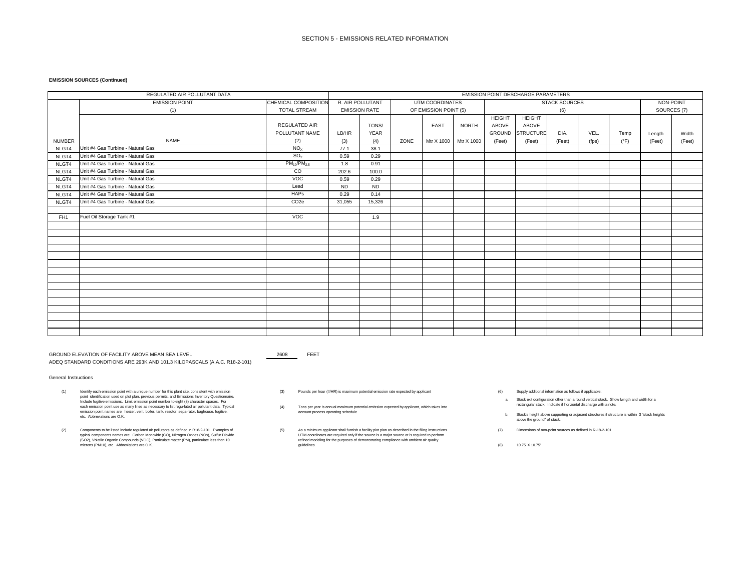#### **EMISSION SOURCES (Continued)**

|                 | REGULATED AIR POLLUTANT DATA      |                      | EMISSION POINT DESCHARGE PARAMETERS        |           |                       |            |              |               |                  |                      |       |               |           |        |
|-----------------|-----------------------------------|----------------------|--------------------------------------------|-----------|-----------------------|------------|--------------|---------------|------------------|----------------------|-------|---------------|-----------|--------|
|                 | <b>EMISSION POINT</b>             | CHEMICAL COMPOSITION | R. AIR POLLUTANT<br><b>UTM COORDINATES</b> |           |                       |            |              |               |                  | <b>STACK SOURCES</b> |       |               | NON-POINT |        |
|                 | (1)                               | <b>TOTAL STREAM</b>  | <b>EMISSION RATE</b>                       |           | OF EMISSION POINT (5) |            | (6)          |               |                  |                      |       | SOURCES (7)   |           |        |
|                 |                                   |                      |                                            |           |                       |            |              | <b>HEIGHT</b> | <b>HEIGHT</b>    |                      |       |               |           |        |
|                 |                                   | <b>REGULATED AIR</b> |                                            | TONS/     |                       | EAST       | <b>NORTH</b> | ABOVE         | ABOVE            |                      |       |               |           |        |
|                 |                                   | POLLUTANT NAME       | LB/HR                                      | YEAR      |                       |            |              | GROUND        | <b>STRUCTURE</b> | DIA.                 | VEL.  | Temp          | Length    | Width  |
| <b>NUMBER</b>   | <b>NAME</b>                       | (2)                  | (3)                                        | (4)       | ZONE                  | Mtr X 1000 | Mtr X 1000   | (Feet)        | (Feet)           | (Feet)               | (fps) | $(^{\circ}F)$ | (Feet)    | (Feet) |
| NLGT4           | Unit #4 Gas Turbine - Natural Gas | NO <sub>X</sub>      | 77.1                                       | 38.1      |                       |            |              |               |                  |                      |       |               |           |        |
| NLGT4           | Unit #4 Gas Turbine - Natural Gas | SO <sub>2</sub>      | 0.59                                       | 0.29      |                       |            |              |               |                  |                      |       |               |           |        |
| NLGT4           | Unit #4 Gas Turbine - Natural Gas | $PM_{10}/PM_{2.5}$   | 1.8                                        | 0.91      |                       |            |              |               |                  |                      |       |               |           |        |
| NLGT4           | Unit #4 Gas Turbine - Natural Gas | $\overline{c}$       | 202.6                                      | 100.0     |                       |            |              |               |                  |                      |       |               |           |        |
| NLGT4           | Unit #4 Gas Turbine - Natural Gas | VOC                  | 0.59                                       | 0.29      |                       |            |              |               |                  |                      |       |               |           |        |
| NLGT4           | Unit #4 Gas Turbine - Natural Gas | Lead                 | <b>ND</b>                                  | <b>ND</b> |                       |            |              |               |                  |                      |       |               |           |        |
| NLGT4           | Unit #4 Gas Turbine - Natural Gas | <b>HAPs</b>          | 0.29                                       | 0.14      |                       |            |              |               |                  |                      |       |               |           |        |
| NLGT4           | Unit #4 Gas Turbine - Natural Gas | CO <sub>2e</sub>     | 31,055                                     | 15,326    |                       |            |              |               |                  |                      |       |               |           |        |
|                 |                                   |                      |                                            |           |                       |            |              |               |                  |                      |       |               |           |        |
| FH <sub>1</sub> | Fuel Oil Storage Tank #1          | VOC                  |                                            | 1.9       |                       |            |              |               |                  |                      |       |               |           |        |
|                 |                                   |                      |                                            |           |                       |            |              |               |                  |                      |       |               |           |        |
|                 |                                   |                      |                                            |           |                       |            |              |               |                  |                      |       |               |           |        |
|                 |                                   |                      |                                            |           |                       |            |              |               |                  |                      |       |               |           |        |
|                 |                                   |                      |                                            |           |                       |            |              |               |                  |                      |       |               |           |        |
|                 |                                   |                      |                                            |           |                       |            |              |               |                  |                      |       |               |           |        |
|                 |                                   |                      |                                            |           |                       |            |              |               |                  |                      |       |               |           |        |
|                 |                                   |                      |                                            |           |                       |            |              |               |                  |                      |       |               |           |        |
|                 |                                   |                      |                                            |           |                       |            |              |               |                  |                      |       |               |           |        |
|                 |                                   |                      |                                            |           |                       |            |              |               |                  |                      |       |               |           |        |
|                 |                                   |                      |                                            |           |                       |            |              |               |                  |                      |       |               |           |        |
|                 |                                   |                      |                                            |           |                       |            |              |               |                  |                      |       |               |           |        |
|                 |                                   |                      |                                            |           |                       |            |              |               |                  |                      |       |               |           |        |
|                 |                                   |                      |                                            |           |                       |            |              |               |                  |                      |       |               |           |        |
|                 |                                   |                      |                                            |           |                       |            |              |               |                  |                      |       |               |           |        |
|                 |                                   |                      |                                            |           |                       |            |              |               |                  |                      |       |               |           |        |

GROUND ELEVATION OF FACILITY ABOVE MEAN SEA LEVEL 2608 2608 FEET ADEQ STANDARD CONDITIONS ARE 293K AND 101.3 KILOPASCALS (A.A.C. R18-2-101)

- (1) Identify each emission point with a unique number for this plant site, consistent with emission with emission the mission (3) Pounds per hour (#/HR) is maximum potential emission rate expected by applicant (6) (6) point identification used on plot plan, previous permits, and Emissions Inventory Questionnaire. Include fugitive emissions. Limit emission point number to eight (8) character spaces. For each emission point use as many lines as necessary to list regu-lated air pollutant data. Typical emission point names are: heater, vent, boiler, tank, reactor, sepa-rator, baghouse, fugitive, etc. Abbreviations are O.K.
- (2) Components to be listed include regulated air pollutants as defined in R18-2-101. Examples of which samples as defined in R-18-2-101. Examples of which are the strainimum applicant shall furnish a facility plot plan as typical components names are: Carbon Monoxide (CO), Nitrogen Oxides (NOx), Sulfur Dioxide<br>(SO2), Volatile Organic Compounds (VOC), Particulate matter (PM), particulate less than 10<br>microns (PM10), etc. Abbreviations are
- (3) Pounds per hour (#/HR) is maximum potential emission rate expected by applicant (6) (6) Supply additional information as follows if applicable:
- (4) Tons per year is annual maximum potential emission expected by applicant, which takes into account process operating schedule
- As a minimum applicant shall furnish a facility plot plan as described in the filing instructions. UTM coordinates are required only if the source is a major source or is required to perform refined modeling for the purposes of demonstrating compliance with ambient air quality guidelines.
- - a. Stack exit configuration other than a round vertical stack. Show lwngth and width for a rectangular stack. Indicate if horizontal discharge with a note.
- b. Stack's height above supporting or adjacent structures if structure is within 3 "stack heights above the ground" of stack.
- 
- (8) 10.75' X 10.75'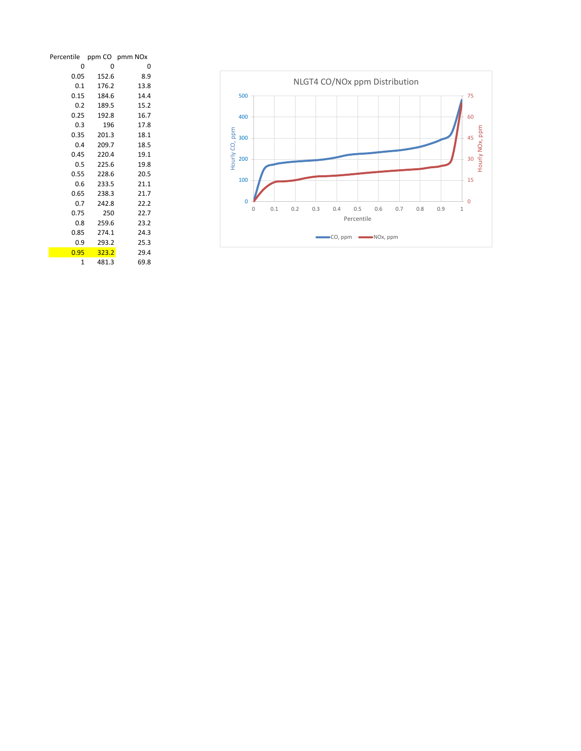| Percentile |       | ppm CO pmm NOx |
|------------|-------|----------------|
| 0          | 0     | 0              |
| 0.05       | 152.6 | 8.9            |
| 0.1        | 176.2 | 13.8           |
| 0.15       | 184.6 | 14.4           |
| 0.2        | 189.5 | 15.2           |
| 0.25       | 192.8 | 16.7           |
| 0.3        | 196   | 17.8           |
| 0.35       | 201.3 | 18.1           |
| 0.4        | 209.7 | 18.5           |
| 0.45       | 220.4 | 19.1           |
| 0.5        | 225.6 | 19.8           |
| 0.55       | 228.6 | 20.5           |
| 0.6        | 233.5 | 21.1           |
| 0.65       | 238.3 | 21.7           |
| 0.7        | 242.8 | 22.2           |
| 0.75       | 250   | 22.7           |
| 0.8        | 259.6 | 23.2           |
| 0.85       | 274.1 | 24.3           |
| 0.9        | 293.2 | 25.3           |
| 0.95       | 323.2 | 29.4           |
| 1          | 481.3 | 69.8           |

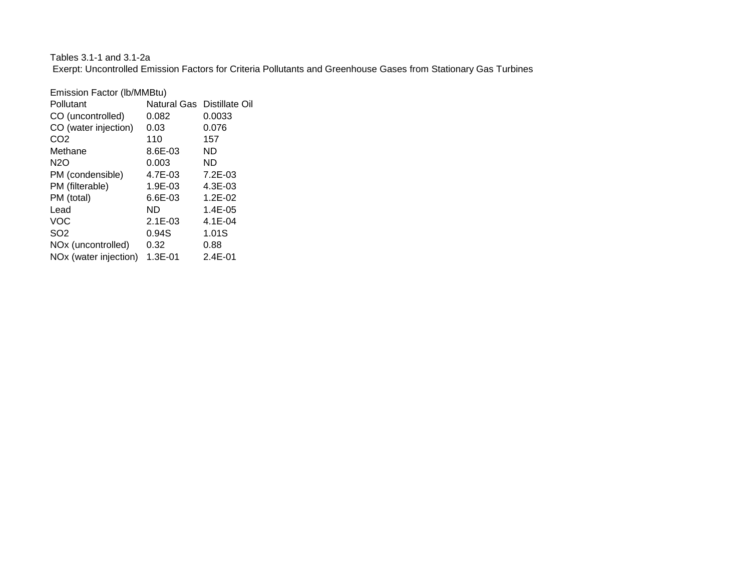# Tables 3.1-1 and 3.1-2a Exerpt: Uncontrolled Emission Factors for Criteria Pollutants and Greenhouse Gases from Stationary Gas Turbines

| Emission Factor (Ib/MMBtu)        |             |                            |
|-----------------------------------|-------------|----------------------------|
| Pollutant                         |             | Natural Gas Distillate Oil |
| CO (uncontrolled)                 | 0.082       | 0.0033                     |
| CO (water injection)              | 0.03        | 0.076                      |
| CO <sub>2</sub>                   | 110         | 157                        |
| Methane                           | 8.6E-03     | ND                         |
| <b>N2O</b>                        | 0.003       | ND                         |
| PM (condensible)                  | 4.7E-03     | $7.2E-03$                  |
| PM (filterable)                   | 1.9E-03     | $4.3E - 03$                |
| PM (total)                        | $6.6E-03$   | $1.2E - 02$                |
| Lead                              | ND          | $1.4E - 0.5$               |
| VOC                               | $2.1E-03$   | $4.1E - 04$                |
| SO <sub>2</sub>                   | 0.94S       | 1.01S                      |
| NO <sub>x</sub> (uncontrolled)    | 0.32        | 0.88                       |
| NO <sub>x</sub> (water injection) | $1.3E - 01$ | $2.4E - 01$                |
|                                   |             |                            |